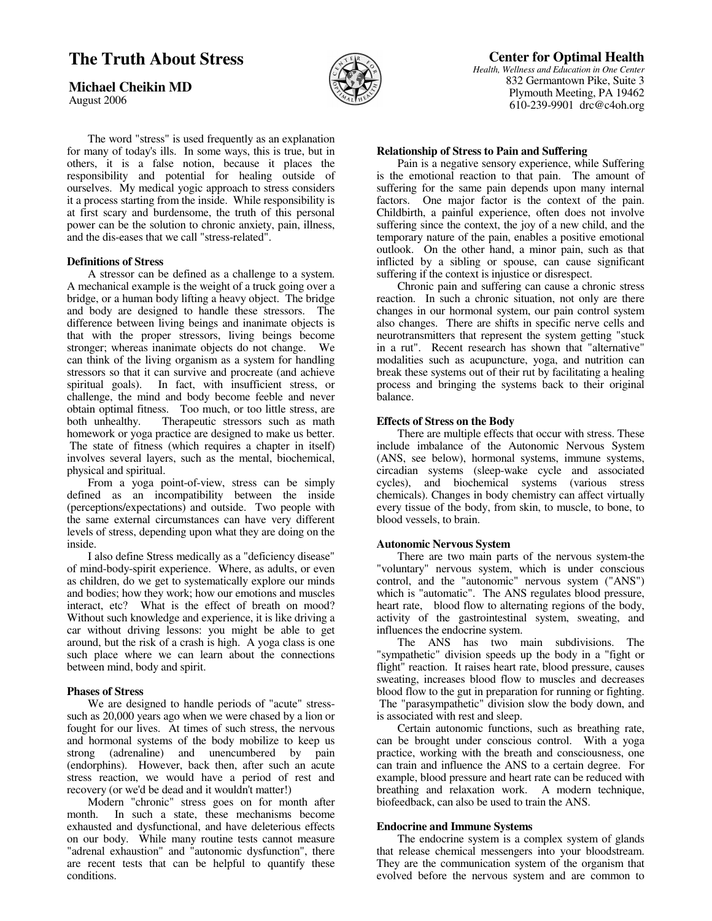# **The Truth About Stress**

**Michael Cheikin MD**

August 2006



 The word "stress" is used frequently as an explanation for many of today's ills. In some ways, this is true, but in others, it is a false notion, because it places the responsibility and potential for healing outside of ourselves. My medical yogic approach to stress considers it a process starting from the inside. While responsibility is at first scary and burdensome, the truth of this personal power can be the solution to chronic anxiety, pain, illness, and the dis-eases that we call "stress-related".

### **Definitions of Stress**

 A stressor can be defined as a challenge to a system. A mechanical example is the weight of a truck going over a bridge, or a human body lifting a heavy object. The bridge and body are designed to handle these stressors. The difference between living beings and inanimate objects is that with the proper stressors, living beings become stronger; whereas inanimate objects do not change. We can think of the living organism as a system for handling stressors so that it can survive and procreate (and achieve spiritual goals). In fact, with insufficient stress, or challenge, the mind and body become feeble and never obtain optimal fitness. Too much, or too little stress, are<br>both unhealthy. Therapeutic stressors such as math Therapeutic stressors such as math homework or yoga practice are designed to make us better. The state of fitness (which requires a chapter in itself) involves several layers, such as the mental, biochemical, physical and spiritual.

 From a yoga point-of-view, stress can be simply defined as an incompatibility between the inside (perceptions/expectations) and outside. Two people with the same external circumstances can have very different levels of stress, depending upon what they are doing on the inside.

 I also define Stress medically as a "deficiency disease" of mind-body-spirit experience. Where, as adults, or even as children, do we get to systematically explore our minds and bodies; how they work; how our emotions and muscles interact, etc? What is the effect of breath on mood? Without such knowledge and experience, it is like driving a car without driving lessons: you might be able to get around, but the risk of a crash is high. A yoga class is one such place where we can learn about the connections between mind, body and spirit.

## **Phases of Stress**

 We are designed to handle periods of "acute" stresssuch as 20,000 years ago when we were chased by a lion or fought for our lives. At times of such stress, the nervous and hormonal systems of the body mobilize to keep us strong (adrenaline) and unencumbered by pain (endorphins). However, back then, after such an acute stress reaction, we would have a period of rest and recovery (or we'd be dead and it wouldn't matter!)

Modern "chronic" stress goes on for month after<br>month. In such a state, these mechanisms become In such a state, these mechanisms become exhausted and dysfunctional, and have deleterious effects on our body. While many routine tests cannot measure "adrenal exhaustion" and "autonomic dysfunction", there are recent tests that can be helpful to quantify these conditions.

# **Center for Optimal Health**

*Health, Wellness and Education in One Center* 832 Germantown Pike, Suite 3 Plymouth Meeting, PA 19462 610-239-9901 drc@c4oh.org

#### **Relationship of Stress to Pain and Suffering**

 Pain is a negative sensory experience, while Suffering is the emotional reaction to that pain. The amount of suffering for the same pain depends upon many internal factors. One major factor is the context of the pain. Childbirth, a painful experience, often does not involve suffering since the context, the joy of a new child, and the temporary nature of the pain, enables a positive emotional outlook. On the other hand, a minor pain, such as that inflicted by a sibling or spouse, can cause significant suffering if the context is injustice or disrespect.

 Chronic pain and suffering can cause a chronic stress reaction. In such a chronic situation, not only are there changes in our hormonal system, our pain control system also changes. There are shifts in specific nerve cells and neurotransmitters that represent the system getting "stuck in a rut". Recent research has shown that "alternative" modalities such as acupuncture, yoga, and nutrition can break these systems out of their rut by facilitating a healing process and bringing the systems back to their original balance.

#### **Effects of Stress on the Body**

 There are multiple effects that occur with stress. These include imbalance of the Autonomic Nervous System (ANS, see below), hormonal systems, immune systems, circadian systems (sleep-wake cycle and associated cycles), and biochemical systems (various stress chemicals). Changes in body chemistry can affect virtually every tissue of the body, from skin, to muscle, to bone, to blood vessels, to brain.

#### **Autonomic Nervous System**

 There are two main parts of the nervous system-the "voluntary" nervous system, which is under conscious control, and the "autonomic" nervous system ("ANS") which is "automatic". The ANS regulates blood pressure, heart rate, blood flow to alternating regions of the body, activity of the gastrointestinal system, sweating, and influences the endocrine system.

 The ANS has two main subdivisions. The "sympathetic" division speeds up the body in a "fight or flight" reaction. It raises heart rate, blood pressure, causes sweating, increases blood flow to muscles and decreases blood flow to the gut in preparation for running or fighting. The "parasympathetic" division slow the body down, and is associated with rest and sleep.

 Certain autonomic functions, such as breathing rate, can be brought under conscious control. With a yoga practice, working with the breath and consciousness, one can train and influence the ANS to a certain degree. For example, blood pressure and heart rate can be reduced with breathing and relaxation work. A modern technique, biofeedback, can also be used to train the ANS.

#### **Endocrine and Immune Systems**

 The endocrine system is a complex system of glands that release chemical messengers into your bloodstream. They are the communication system of the organism that evolved before the nervous system and are common to